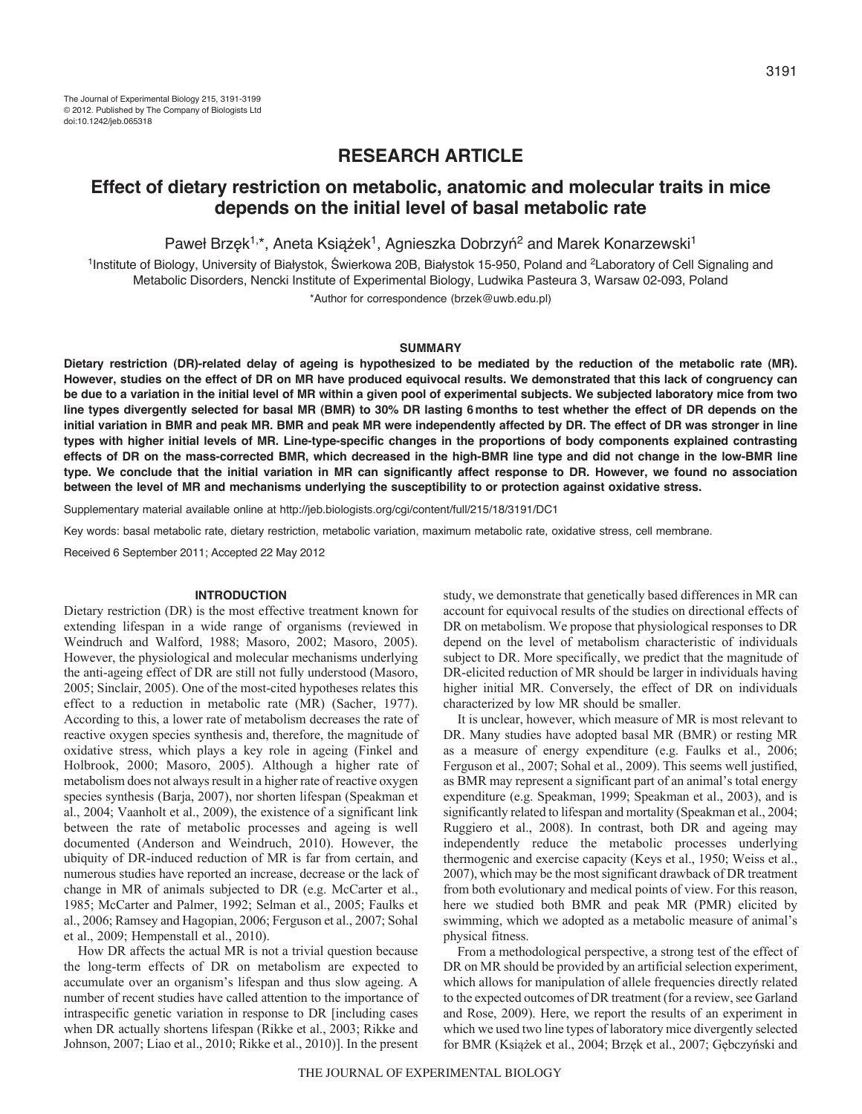# **RESEARCH ARTICLE**

# **Effect of dietary restriction on metabolic, anatomic and molecular traits in mice depends on the initial level of basal metabolic rate**

Paweł Brzęk<sup>1,\*</sup>, Aneta Książek<sup>1</sup>, Agnieszka Dobrzyń<sup>2</sup> and Marek Konarzewski<sup>1</sup>

<sup>1</sup>Institute of Biology, University of Białystok, Świerkowa 20B, Białystok 15-950, Poland and <sup>2</sup>Laboratory of Cell Signaling and Metabolic Disorders, Nencki Institute of Experimental Biology, Ludwika Pasteura 3, Warsaw 02-093, Poland

\*Author for correspondence (brzek@uwb.edu.pl)

## **SUMMARY**

**Dietary restriction (DR)-related delay of ageing is hypothesized to be mediated by the reduction of the metabolic rate (MR). However, studies on the effect of DR on MR have produced equivocal results. We demonstrated that this lack of congruency can be due to a variation in the initial level of MR within a given pool of experimental subjects. We subjected laboratory mice from two line types divergently selected for basal MR (BMR) to 30% DR lasting 6months to test whether the effect of DR depends on the initial variation in BMR and peak MR. BMR and peak MR were independently affected by DR. The effect of DR was stronger in line types with higher initial levels of MR. Line-type-specific changes in the proportions of body components explained contrasting effects of DR on the mass-corrected BMR, which decreased in the high-BMR line type and did not change in the low-BMR line type. We conclude that the initial variation in MR can significantly affect response to DR. However, we found no association between the level of MR and mechanisms underlying the susceptibility to or protection against oxidative stress.**

Supplementary material available online at http://jeb.biologists.org/cgi/content/full/215/18/3191/DC1

Key words: basal metabolic rate, dietary restriction, metabolic variation, maximum metabolic rate, oxidative stress, cell membrane.

Received 6 September 2011; Accepted 22 May 2012

# **INTRODUCTION**

Dietary restriction (DR) is the most effective treatment known for extending lifespan in a wide range of organisms (reviewed in Weindruch and Walford, 1988; Masoro, 2002; Masoro, 2005). However, the physiological and molecular mechanisms underlying the anti-ageing effect of DR are still not fully understood (Masoro, 2005; Sinclair, 2005). One of the most-cited hypotheses relates this effect to a reduction in metabolic rate (MR) (Sacher, 1977). According to this, a lower rate of metabolism decreases the rate of reactive oxygen species synthesis and, therefore, the magnitude of oxidative stress, which plays a key role in ageing (Finkel and Holbrook, 2000; Masoro, 2005). Although a higher rate of metabolism does not always result in a higher rate of reactive oxygen species synthesis (Barja, 2007), nor shorten lifespan (Speakman et al., 2004; Vaanholt et al., 2009), the existence of a significant link between the rate of metabolic processes and ageing is well documented (Anderson and Weindruch, 2010). However, the ubiquity of DR-induced reduction of MR is far from certain, and numerous studies have reported an increase, decrease or the lack of change in MR of animals subjected to DR (e.g. McCarter et al., 1985; McCarter and Palmer, 1992; Selman et al., 2005; Faulks et al., 2006; Ramsey and Hagopian, 2006; Ferguson et al., 2007; Sohal et al., 2009; Hempenstall et al., 2010).

How DR affects the actual MR is not a trivial question because the long-term effects of DR on metabolism are expected to accumulate over an organism's lifespan and thus slow ageing. A number of recent studies have called attention to the importance of intraspecific genetic variation in response to DR [including cases when DR actually shortens lifespan (Rikke et al., 2003; Rikke and Johnson, 2007; Liao et al., 2010; Rikke et al., 2010)]. In the present

study, we demonstrate that genetically based differences in MR can account for equivocal results of the studies on directional effects of DR on metabolism. We propose that physiological responses to DR depend on the level of metabolism characteristic of individuals subject to DR. More specifically, we predict that the magnitude of DR-elicited reduction of MR should be larger in individuals having higher initial MR. Conversely, the effect of DR on individuals characterized by low MR should be smaller.

It is unclear, however, which measure of MR is most relevant to DR. Many studies have adopted basal MR (BMR) or resting MR as a measure of energy expenditure (e.g. Faulks et al., 2006; Ferguson et al., 2007; Sohal et al., 2009). This seems well justified, as BMR may represent a significant part of an animal's total energy expenditure (e.g. Speakman, 1999; Speakman et al., 2003), and is significantly related to lifespan and mortality (Speakman et al., 2004; Ruggiero et al., 2008). In contrast, both DR and ageing may independently reduce the metabolic processes underlying thermogenic and exercise capacity (Keys et al., 1950; Weiss et al., 2007), which may be the most significant drawback of DR treatment from both evolutionary and medical points of view. For this reason, here we studied both BMR and peak MR (PMR) elicited by swimming, which we adopted as a metabolic measure of animal's physical fitness.

From a methodological perspective, a strong test of the effect of DR on MR should be provided by an artificial selection experiment, which allows for manipulation of allele frequencies directly related to the expected outcomes of DR treatment (for a review, see Garland and Rose, 2009). Here, we report the results of an experiment in which we used two line types of laboratory mice divergently selected for BMR (Książek et al., 2004; Brzęk et al., 2007; Gębczyński and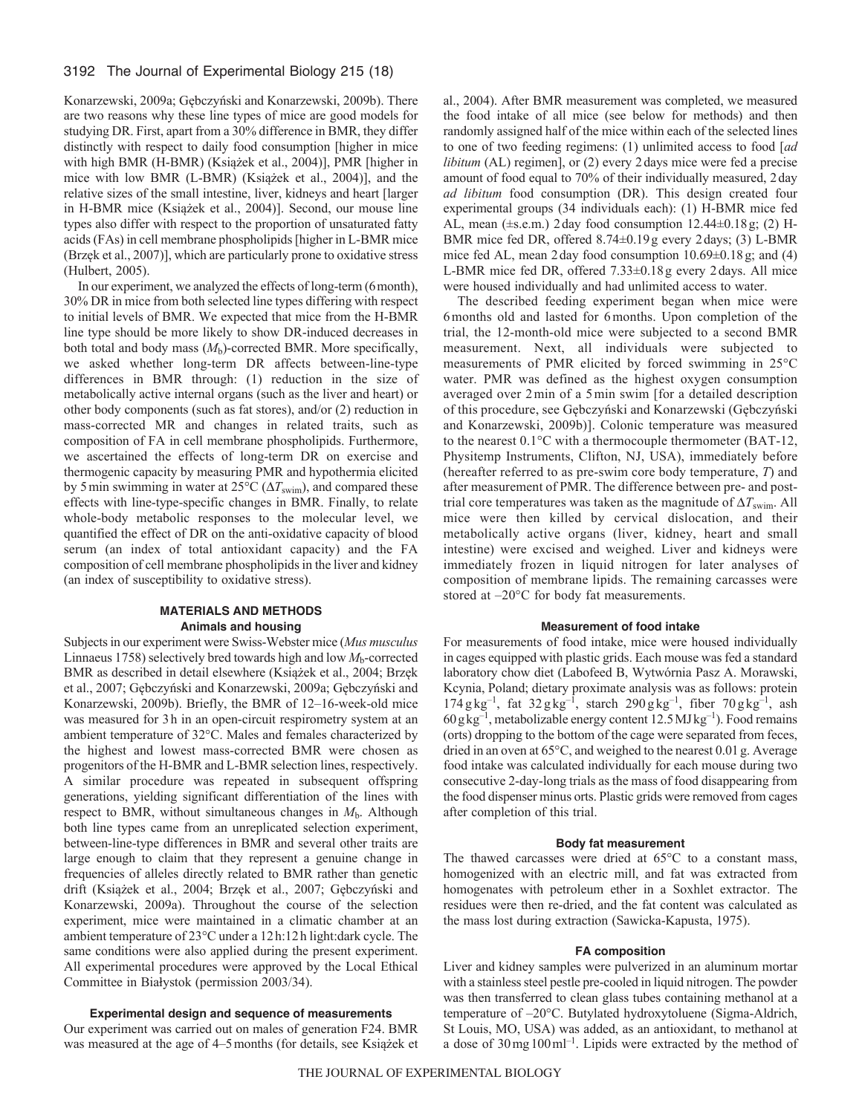Konarzewski, 2009a; Gębczyński and Konarzewski, 2009b). There are two reasons why these line types of mice are good models for studying DR. First, apart from a 30% difference in BMR, they differ distinctly with respect to daily food consumption [higher in mice with high BMR (H-BMR) (Książek et al., 2004)], PMR [higher in mice with low BMR (L-BMR) (Książek et al., 2004)], and the relative sizes of the small intestine, liver, kidneys and heart [larger in H-BMR mice (Książek et al., 2004)]. Second, our mouse line types also differ with respect to the proportion of unsaturated fatty acids (FAs) in cell membrane phospholipids [higher in L-BMR mice (Brzęk et al., 2007)], which are particularly prone to oxidative stress (Hulbert, 2005).

In our experiment, we analyzed the effects of long-term (6month), 30% DR in mice from both selected line types differing with respect to initial levels of BMR. We expected that mice from the H-BMR line type should be more likely to show DR-induced decreases in both total and body mass (*M*b)-corrected BMR. More specifically, we asked whether long-term DR affects between-line-type differences in BMR through: (1) reduction in the size of metabolically active internal organs (such as the liver and heart) or other body components (such as fat stores), and/or (2) reduction in mass-corrected MR and changes in related traits, such as composition of FA in cell membrane phospholipids. Furthermore, we ascertained the effects of long-term DR on exercise and thermogenic capacity by measuring PMR and hypothermia elicited by 5 min swimming in water at  $25^{\circ}C (\Delta T_{\text{swim}})$ , and compared these effects with line-type-specific changes in BMR. Finally, to relate whole-body metabolic responses to the molecular level, we quantified the effect of DR on the anti-oxidative capacity of blood serum (an index of total antioxidant capacity) and the FA composition of cell membrane phospholipids in the liver and kidney (an index of susceptibility to oxidative stress).

# **MATERIALS AND METHODS Animals and housing**

Subjects in our experiment were Swiss-Webster mice (*Mus musculus* Linnaeus 1758) selectively bred towards high and low *M*<sub>b</sub>-corrected BMR as described in detail elsewhere (Książek et al., 2004; Brzęk et al., 2007; Gębczyński and Konarzewski, 2009a; Gębczyński and Konarzewski, 2009b). Briefly, the BMR of 12–16-week-old mice was measured for 3h in an open-circuit respirometry system at an ambient temperature of 32°C. Males and females characterized by the highest and lowest mass-corrected BMR were chosen as progenitors of the H-BMR and L-BMR selection lines, respectively. A similar procedure was repeated in subsequent offspring generations, yielding significant differentiation of the lines with respect to BMR, without simultaneous changes in  $M_b$ . Although both line types came from an unreplicated selection experiment, between-line-type differences in BMR and several other traits are large enough to claim that they represent a genuine change in frequencies of alleles directly related to BMR rather than genetic drift (Książek et al., 2004; Brzęk et al., 2007; Gębczyński and Konarzewski, 2009a). Throughout the course of the selection experiment, mice were maintained in a climatic chamber at an ambient temperature of 23°C under a 12h:12h light:dark cycle. The same conditions were also applied during the present experiment. All experimental procedures were approved by the Local Ethical Committee in Bialystok (permission 2003/34).

# **Experimental design and sequence of measurements**

Our experiment was carried out on males of generation F24. BMR was measured at the age of 4–5months (for details, see Książek et al., 2004). After BMR measurement was completed, we measured the food intake of all mice (see below for methods) and then randomly assigned half of the mice within each of the selected lines to one of two feeding regimens: (1) unlimited access to food [*ad libitum* (AL) regimen], or (2) every 2 days mice were fed a precise amount of food equal to 70% of their individually measured, 2day *ad libitum* food consumption (DR). This design created four experimental groups (34 individuals each): (1) H-BMR mice fed AL, mean (±s.e.m.) 2day food consumption 12.44±0.18g; (2) H-BMR mice fed DR, offered 8.74±0.19g every 2days; (3) L-BMR mice fed AL, mean 2day food consumption 10.69±0.18g; and (4) L-BMR mice fed DR, offered 7.33±0.18g every 2days. All mice were housed individually and had unlimited access to water.

The described feeding experiment began when mice were 6months old and lasted for 6months. Upon completion of the trial, the 12-month-old mice were subjected to a second BMR measurement. Next, all individuals were subjected to measurements of PMR elicited by forced swimming in 25°C water. PMR was defined as the highest oxygen consumption averaged over 2min of a 5min swim [for a detailed description of this procedure, see Gębczyński and Konarzewski (Gębczyński and Konarzewski, 2009b)]. Colonic temperature was measured to the nearest 0.1°C with a thermocouple thermometer (BAT-12, Physitemp Instruments, Clifton, NJ, USA), immediately before (hereafter referred to as pre-swim core body temperature, *T*) and after measurement of PMR. The difference between pre- and posttrial core temperatures was taken as the magnitude of  $\Delta T_{\text{swim}}$ . All mice were then killed by cervical dislocation, and their metabolically active organs (liver, kidney, heart and small intestine) were excised and weighed. Liver and kidneys were immediately frozen in liquid nitrogen for later analyses of composition of membrane lipids. The remaining carcasses were stored at –20°C for body fat measurements.

## **Measurement of food intake**

For measurements of food intake, mice were housed individually in cages equipped with plastic grids. Each mouse was fed a standard laboratory chow diet (Labofeed B, Wytwórnia Pasz A. Morawski, Kcynia, Poland; dietary proximate analysis was as follows: protein  $174 \text{ g kg}^{-1}$ , fat  $32 \text{ g kg}^{-1}$ , starch  $290 \text{ g kg}^{-1}$ , fiber  $70 \text{ g kg}^{-1}$ , ash  $60g\text{kg}^{-1}$ , metabolizable energy content 12.5 MJ kg<sup>-1</sup>). Food remains (orts) dropping to the bottom of the cage were separated from feces, dried in an oven at 65°C, and weighed to the nearest 0.01g. Average food intake was calculated individually for each mouse during two consecutive 2-day-long trials as the mass of food disappearing from the food dispenser minus orts. Plastic grids were removed from cages after completion of this trial.

#### **Body fat measurement**

The thawed carcasses were dried at 65°C to a constant mass, homogenized with an electric mill, and fat was extracted from homogenates with petroleum ether in a Soxhlet extractor. The residues were then re-dried, and the fat content was calculated as the mass lost during extraction (Sawicka-Kapusta, 1975).

# **FA composition**

Liver and kidney samples were pulverized in an aluminum mortar with a stainless steel pestle pre-cooled in liquid nitrogen. The powder was then transferred to clean glass tubes containing methanol at a temperature of –20°C. Butylated hydroxytoluene (Sigma-Aldrich, St Louis, MO, USA) was added, as an antioxidant, to methanol at a dose of  $30 \text{ mg } 100 \text{ ml}^{-1}$ . Lipids were extracted by the method of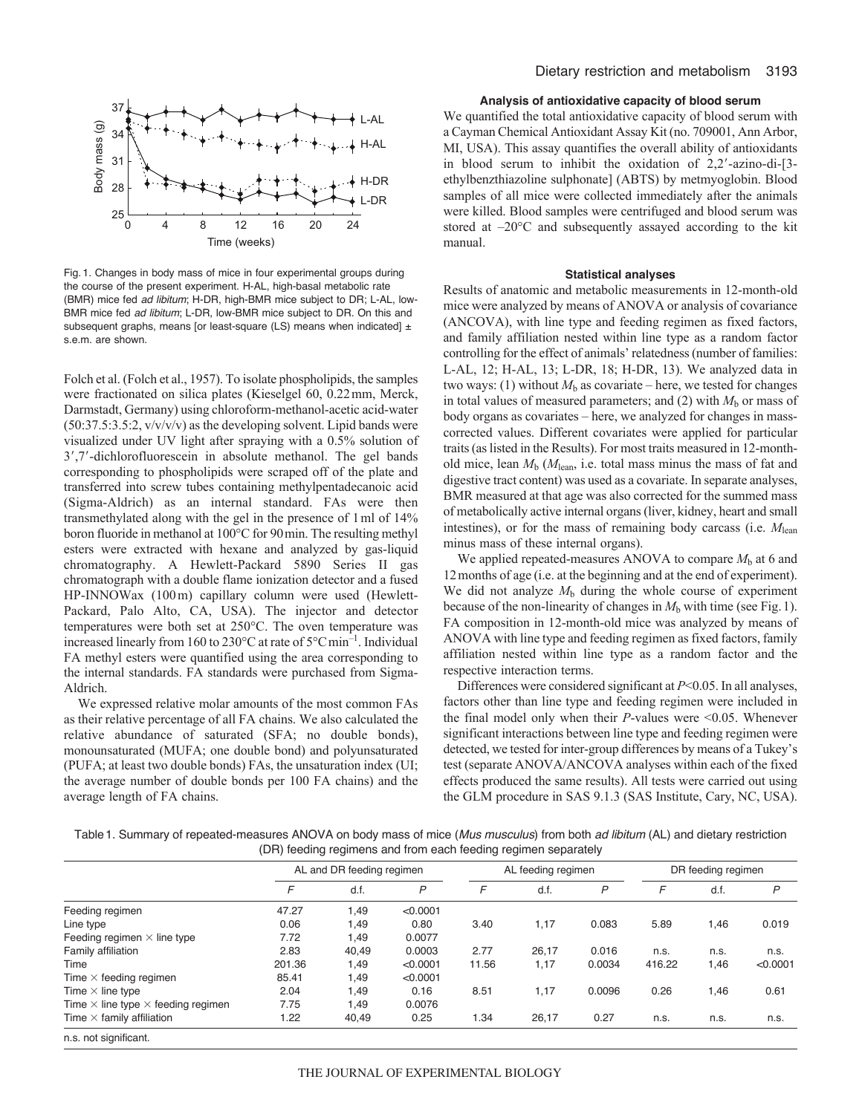

Fig. 1. Changes in body mass of mice in four experimental groups during the course of the present experiment. H-AL, high-basal metabolic rate (BMR) mice fed *ad libitum*; H-DR, high-BMR mice subject to DR; L-AL, low-BMR mice fed *ad libitum*; L-DR, low-BMR mice subject to DR. On this and subsequent graphs, means [or least-square (LS) means when indicated]  $\pm$ s.e.m. are shown.

Folch et al. (Folch et al., 1957). To isolate phospholipids, the samples were fractionated on silica plates (Kieselgel 60, 0.22mm, Merck, Darmstadt, Germany) using chloroform-methanol-acetic acid-water  $(50:37.5:3.5:2, v/v/v/v)$  as the developing solvent. Lipid bands were visualized under UV light after spraying with a 0.5% solution of 3',7'-dichlorofluorescein in absolute methanol. The gel bands corresponding to phospholipids were scraped off of the plate and transferred into screw tubes containing methylpentadecanoic acid (Sigma-Aldrich) as an internal standard. FAs were then transmethylated along with the gel in the presence of 1ml of 14% boron fluoride in methanol at 100°C for 90min. The resulting methyl esters were extracted with hexane and analyzed by gas-liquid chromatography. A Hewlett-Packard 5890 Series II gas chromatograph with a double flame ionization detector and a fused HP-INNOWax (100m) capillary column were used (Hewlett-Packard, Palo Alto, CA, USA). The injector and detector temperatures were both set at 250°C. The oven temperature was increased linearly from 160 to 230 $\degree$ C at rate of 5 $\degree$ Cmin<sup>-1</sup>. Individual FA methyl esters were quantified using the area corresponding to the internal standards. FA standards were purchased from Sigma-Aldrich.

We expressed relative molar amounts of the most common FAs as their relative percentage of all FA chains. We also calculated the relative abundance of saturated (SFA; no double bonds), monounsaturated (MUFA; one double bond) and polyunsaturated (PUFA; at least two double bonds) FAs, the unsaturation index (UI; the average number of double bonds per 100 FA chains) and the average length of FA chains.

# **Analysis of antioxidative capacity of blood serum**

We quantified the total antioxidative capacity of blood serum with a Cayman Chemical Antioxidant Assay Kit (no. 709001, Ann Arbor, MI, USA). This assay quantifies the overall ability of antioxidants in blood serum to inhibit the oxidation of 2,2--azino-di-[3 ethylbenzthiazoline sulphonate] (ABTS) by metmyoglobin. Blood samples of all mice were collected immediately after the animals were killed. Blood samples were centrifuged and blood serum was stored at –20°C and subsequently assayed according to the kit manual.

#### **Statistical analyses**

Results of anatomic and metabolic measurements in 12-month-old mice were analyzed by means of ANOVA or analysis of covariance (ANCOVA), with line type and feeding regimen as fixed factors, and family affiliation nested within line type as a random factor controlling for the effect of animals' relatedness (number of families: L-AL, 12; H-AL, 13; L-DR, 18; H-DR, 13). We analyzed data in two ways: (1) without  $M<sub>b</sub>$  as covariate – here, we tested for changes in total values of measured parameters; and  $(2)$  with  $M<sub>b</sub>$  or mass of body organs as covariates – here, we analyzed for changes in masscorrected values. Different covariates were applied for particular traits (as listed in the Results). For most traits measured in 12-monthold mice, lean  $M<sub>b</sub>$  ( $M<sub>lean</sub>$ , i.e. total mass minus the mass of fat and digestive tract content) was used as a covariate. In separate analyses, BMR measured at that age was also corrected for the summed mass of metabolically active internal organs (liver, kidney, heart and small intestines), or for the mass of remaining body carcass (i.e.  $M_{\text{lean}}$ minus mass of these internal organs).

We applied repeated-measures ANOVA to compare  $M<sub>b</sub>$  at 6 and 12months of age (i.e. at the beginning and at the end of experiment). We did not analyze  $M<sub>b</sub>$  during the whole course of experiment because of the non-linearity of changes in  $M<sub>b</sub>$  with time (see Fig. 1). FA composition in 12-month-old mice was analyzed by means of ANOVA with line type and feeding regimen as fixed factors, family affiliation nested within line type as a random factor and the respective interaction terms.

Differences were considered significant at *P*<0.05. In all analyses, factors other than line type and feeding regimen were included in the final model only when their *P*-values were <0.05. Whenever significant interactions between line type and feeding regimen were detected, we tested for inter-group differences by means of a Tukey's test (separate ANOVA/ANCOVA analyses within each of the fixed effects produced the same results). All tests were carried out using the GLM procedure in SAS 9.1.3 (SAS Institute, Cary, NC, USA).

Table1. Summary of repeated-measures ANOVA on body mass of mice (*Mus musculus*) from both *ad libitum* (AL) and dietary restriction (DR) feeding regimens and from each feeding regimen separately

|                                                  | AL and DR feeding regimen |       |          |       | AL feeding regimen |        | DR feeding regimen |      |          |
|--------------------------------------------------|---------------------------|-------|----------|-------|--------------------|--------|--------------------|------|----------|
|                                                  | F                         | d.f.  | P        | F     | d.f.               | P      | F                  | d.f. | P        |
| Feeding regimen                                  | 47.27                     | 1,49  | < 0.0001 |       |                    |        |                    |      |          |
| Line type                                        | 0.06                      | 1,49  | 0.80     | 3.40  | 1,17               | 0.083  | 5.89               | 1,46 | 0.019    |
| Feeding regimen $\times$ line type               | 7.72                      | 1,49  | 0.0077   |       |                    |        |                    |      |          |
| Family affiliation                               | 2.83                      | 40.49 | 0.0003   | 2.77  | 26.17              | 0.016  | n.s.               | n.s. | n.s.     |
| Time                                             | 201.36                    | 1,49  | < 0.0001 | 11.56 | 1,17               | 0.0034 | 416.22             | 1,46 | < 0.0001 |
| Time $\times$ feeding regimen                    | 85.41                     | 1,49  | < 0.0001 |       |                    |        |                    |      |          |
| Time $\times$ line type                          | 2.04                      | 1,49  | 0.16     | 8.51  | 1,17               | 0.0096 | 0.26               | 1,46 | 0.61     |
| Time $\times$ line type $\times$ feeding regimen | 7.75                      | 1,49  | 0.0076   |       |                    |        |                    |      |          |
| Time $\times$ family affiliation                 | 1.22                      | 40,49 | 0.25     | 1.34  | 26,17              | 0.27   | n.s.               | n.s. | n.s.     |
| n.s. not significant.                            |                           |       |          |       |                    |        |                    |      |          |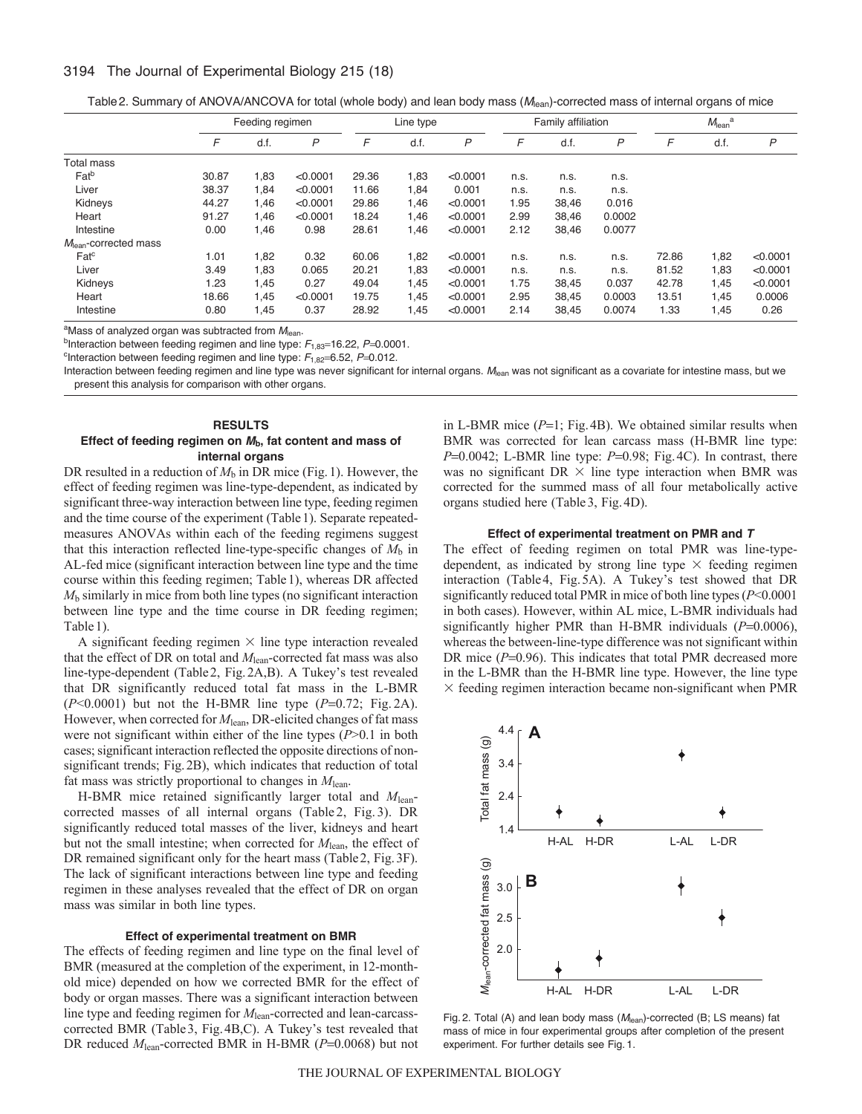# 3194 The Journal of Experimental Biology 215 (18)

Table2. Summary of ANOVA/ANCOVA for total (whole body) and lean body mass (*M*lean)-corrected mass of internal organs of mice

|                         | Feeding regimen |      |          | Line type |      |          | Family affiliation |       |        | $Mlean$ <sup>a</sup> |      |          |
|-------------------------|-----------------|------|----------|-----------|------|----------|--------------------|-------|--------|----------------------|------|----------|
|                         | F               | d.f. | P        | F         | d.f. | P        | F                  | d.f.  | P      | F                    | d.f. | P        |
| Total mass              |                 |      |          |           |      |          |                    |       |        |                      |      |          |
| Fat <sup>b</sup>        | 30.87           | 1,83 | < 0.0001 | 29.36     | 1,83 | < 0.0001 | n.s.               | n.s.  | n.s.   |                      |      |          |
| Liver                   | 38.37           | 1,84 | < 0.0001 | 11.66     | 1,84 | 0.001    | n.s.               | n.s.  | n.s.   |                      |      |          |
| Kidneys                 | 44.27           | 1.46 | < 0.0001 | 29.86     | 1,46 | < 0.0001 | 1.95               | 38,46 | 0.016  |                      |      |          |
| Heart                   | 91.27           | 1,46 | < 0.0001 | 18.24     | 1,46 | < 0.0001 | 2.99               | 38,46 | 0.0002 |                      |      |          |
| Intestine               | 0.00            | 1,46 | 0.98     | 28.61     | 1,46 | < 0.0001 | 2.12               | 38,46 | 0.0077 |                      |      |          |
| $Mlean$ -corrected mass |                 |      |          |           |      |          |                    |       |        |                      |      |          |
| $\mathsf{Fat}^c$        | 1.01            | 1,82 | 0.32     | 60.06     | 1,82 | < 0.0001 | n.s.               | n.s.  | n.s.   | 72.86                | 1,82 | < 0.0001 |
| Liver                   | 3.49            | 1,83 | 0.065    | 20.21     | 1,83 | < 0.0001 | n.s.               | n.s.  | n.s.   | 81.52                | 1,83 | < 0.0001 |
| Kidneys                 | 1.23            | 1,45 | 0.27     | 49.04     | 1,45 | < 0.0001 | 1.75               | 38,45 | 0.037  | 42.78                | 1,45 | < 0.0001 |
| Heart                   | 18.66           | 1,45 | < 0.0001 | 19.75     | 1,45 | < 0.0001 | 2.95               | 38,45 | 0.0003 | 13.51                | 1,45 | 0.0006   |
| Intestine               | 0.80            | 1,45 | 0.37     | 28.92     | 1,45 | < 0.0001 | 2.14               | 38,45 | 0.0074 | 1.33                 | 1,45 | 0.26     |

<sup>a</sup>Mass of analyzed organ was subtracted from M<sub>lean</sub>.

bInteraction between feeding regimen and line type:  $F_{1,83}$ =16.22,  $P=0.0001$ .

<sup>c</sup>Interaction between feeding regimen and line type:  $F_{1,82}$ =6.52, *P*=0.012.

Interaction between feeding regimen and line type was never significant for internal organs. *M*lean was not significant as a covariate for intestine mass, but we present this analysis for comparison with other organs.

# **RESULTS Effect of feeding regimen on** *M***b, fat content and mass of internal organs**

DR resulted in a reduction of  $M<sub>b</sub>$  in DR mice (Fig. 1). However, the effect of feeding regimen was line-type-dependent, as indicated by significant three-way interaction between line type, feeding regimen and the time course of the experiment (Table1). Separate repeatedmeasures ANOVAs within each of the feeding regimens suggest that this interaction reflected line-type-specific changes of  $M<sub>b</sub>$  in AL-fed mice (significant interaction between line type and the time course within this feeding regimen; Table1), whereas DR affected *M*<sup>b</sup> similarly in mice from both line types (no significant interaction between line type and the time course in DR feeding regimen; Table 1).

A significant feeding regimen  $\times$  line type interaction revealed that the effect of DR on total and *M*lean-corrected fat mass was also line-type-dependent (Table2, Fig.2A,B). A Tukey's test revealed that DR significantly reduced total fat mass in the L-BMR  $(P<0.0001)$  but not the H-BMR line type  $(P=0.72;$  Fig. 2A). However, when corrected for  $M_{\text{lean}}$ , DR-elicited changes of fat mass were not significant within either of the line types (*P*>0.1 in both cases; significant interaction reflected the opposite directions of nonsignificant trends; Fig.2B), which indicates that reduction of total fat mass was strictly proportional to changes in  $M_{\text{lean}}$ .

H-BMR mice retained significantly larger total and *M*leancorrected masses of all internal organs (Table 2, Fig. 3). DR significantly reduced total masses of the liver, kidneys and heart but not the small intestine; when corrected for  $M_{\text{lean}}$ , the effect of DR remained significant only for the heart mass (Table2, Fig.3F). The lack of significant interactions between line type and feeding regimen in these analyses revealed that the effect of DR on organ mass was similar in both line types.

### **Effect of experimental treatment on BMR**

The effects of feeding regimen and line type on the final level of BMR (measured at the completion of the experiment, in 12-monthold mice) depended on how we corrected BMR for the effect of body or organ masses. There was a significant interaction between line type and feeding regimen for  $M_{\text{lean}}$ -corrected and lean-carcasscorrected BMR (Table3, Fig.4B,C). A Tukey's test revealed that DR reduced *M*<sub>lean</sub>-corrected BMR in H-BMR (*P*=0.0068) but not

in L-BMR mice  $(P=1; Fig.4B)$ . We obtained similar results when BMR was corrected for lean carcass mass (H-BMR line type: *P*=0.0042; L-BMR line type: *P*=0.98; Fig.4C). In contrast, there was no significant  $DR \times$  line type interaction when BMR was corrected for the summed mass of all four metabolically active organs studied here (Table3, Fig.4D).

#### **Effect of experimental treatment on PMR and** *T*

The effect of feeding regimen on total PMR was line-typedependent, as indicated by strong line type  $\times$  feeding regimen interaction (Table4, Fig.5A). A Tukey's test showed that DR significantly reduced total PMR in mice of both line types (*P*<0.0001 in both cases). However, within AL mice, L-BMR individuals had significantly higher PMR than H-BMR individuals  $(P=0.0006)$ , whereas the between-line-type difference was not significant within DR mice  $(P=0.96)$ . This indicates that total PMR decreased more in the L-BMR than the H-BMR line type. However, the line type  $\times$  feeding regimen interaction became non-significant when PMR



Fig. 2. Total (A) and lean body mass (M<sub>lean</sub>)-corrected (B; LS means) fat mass of mice in four experimental groups after completion of the present experiment. For further details see Fig. 1.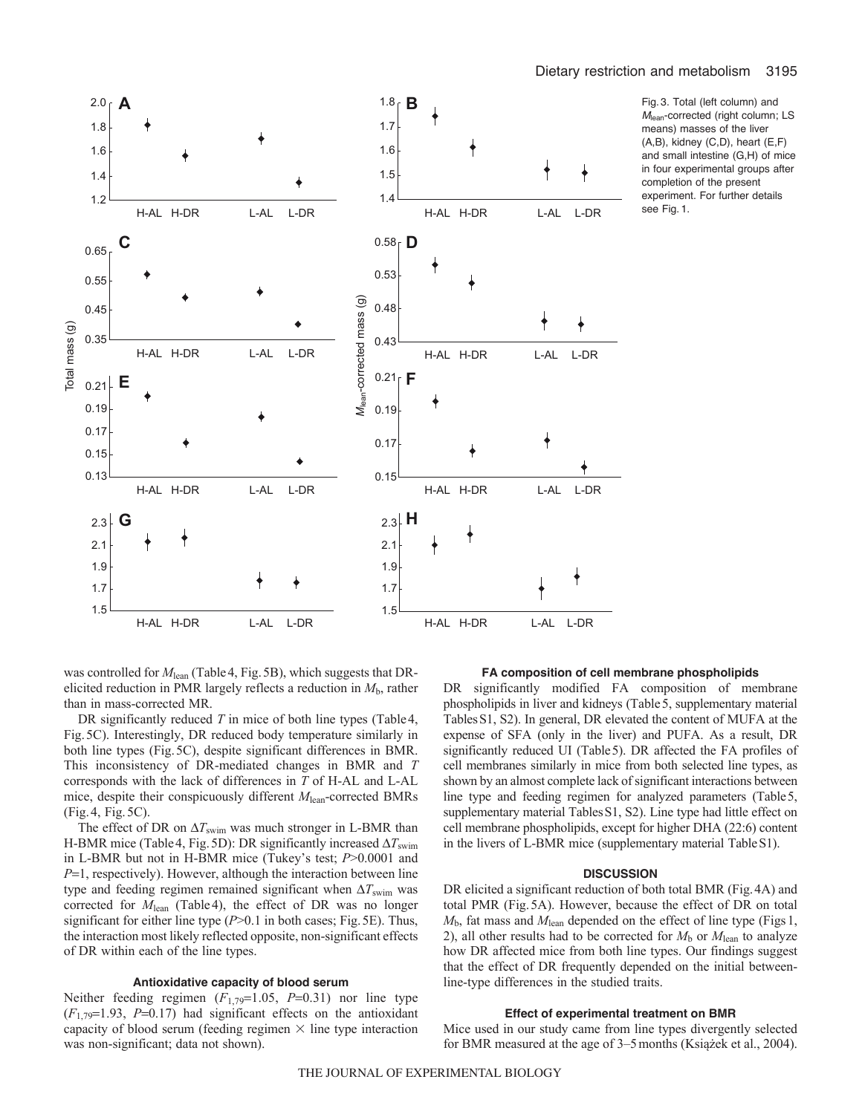

Fig. 3. Total (left column) and *M*lean-corrected (right column; LS means) masses of the liver (A,B), kidney (C,D), heart (E,F) and small intestine (G,H) of mice in four experimental groups after completion of the present experiment. For further details see Fig. 1.

was controlled for  $M_{\text{lean}}$  (Table 4, Fig. 5B), which suggests that DRelicited reduction in PMR largely reflects a reduction in  $M<sub>b</sub>$ , rather than in mass-corrected MR.

DR significantly reduced *T* in mice of both line types (Table 4, Fig.5C). Interestingly, DR reduced body temperature similarly in both line types (Fig.5C), despite significant differences in BMR. This inconsistency of DR-mediated changes in BMR and *T* corresponds with the lack of differences in *T* of H-AL and L-AL mice, despite their conspicuously different *M*lean-corrected BMRs (Fig.4, Fig.5C).

The effect of DR on  $\Delta T_{\text{swim}}$  was much stronger in L-BMR than H-BMR mice (Table 4, Fig. 5D): DR significantly increased  $\Delta T_{\text{swim}}$ in L-BMR but not in H-BMR mice (Tukey's test; *P*>0.0001 and *P*=1, respectively). However, although the interaction between line type and feeding regimen remained significant when  $\Delta T_{\text{swim}}$  was corrected for *M*<sub>lean</sub> (Table4), the effect of DR was no longer significant for either line type (*P*>0.1 in both cases; Fig.5E). Thus, the interaction most likely reflected opposite, non-significant effects of DR within each of the line types.

# **Antioxidative capacity of blood serum**

Neither feeding regimen  $(F_{1,79}=1.05, P=0.31)$  nor line type  $(F_{1,79}=1.93, P=0.17)$  had significant effects on the antioxidant capacity of blood serum (feeding regimen  $\times$  line type interaction was non-significant; data not shown).

#### **FA composition of cell membrane phospholipids**

DR significantly modified FA composition of membrane phospholipids in liver and kidneys (Table5, supplementary material TablesS1, S2). In general, DR elevated the content of MUFA at the expense of SFA (only in the liver) and PUFA. As a result, DR significantly reduced UI (Table5). DR affected the FA profiles of cell membranes similarly in mice from both selected line types, as shown by an almost complete lack of significant interactions between line type and feeding regimen for analyzed parameters (Table5, supplementary material Tables S1, S2). Line type had little effect on cell membrane phospholipids, except for higher DHA (22:6) content in the livers of L-BMR mice (supplementary material TableS1).

## **DISCUSSION**

DR elicited a significant reduction of both total BMR (Fig.4A) and total PMR (Fig.5A). However, because the effect of DR on total  $M<sub>b</sub>$ , fat mass and  $M<sub>lean</sub>$  depended on the effect of line type (Figs 1, 2), all other results had to be corrected for  $M<sub>b</sub>$  or  $M<sub>lean</sub>$  to analyze how DR affected mice from both line types. Our findings suggest that the effect of DR frequently depended on the initial betweenline-type differences in the studied traits.

## **Effect of experimental treatment on BMR**

Mice used in our study came from line types divergently selected for BMR measured at the age of 3–5months (Książek et al., 2004).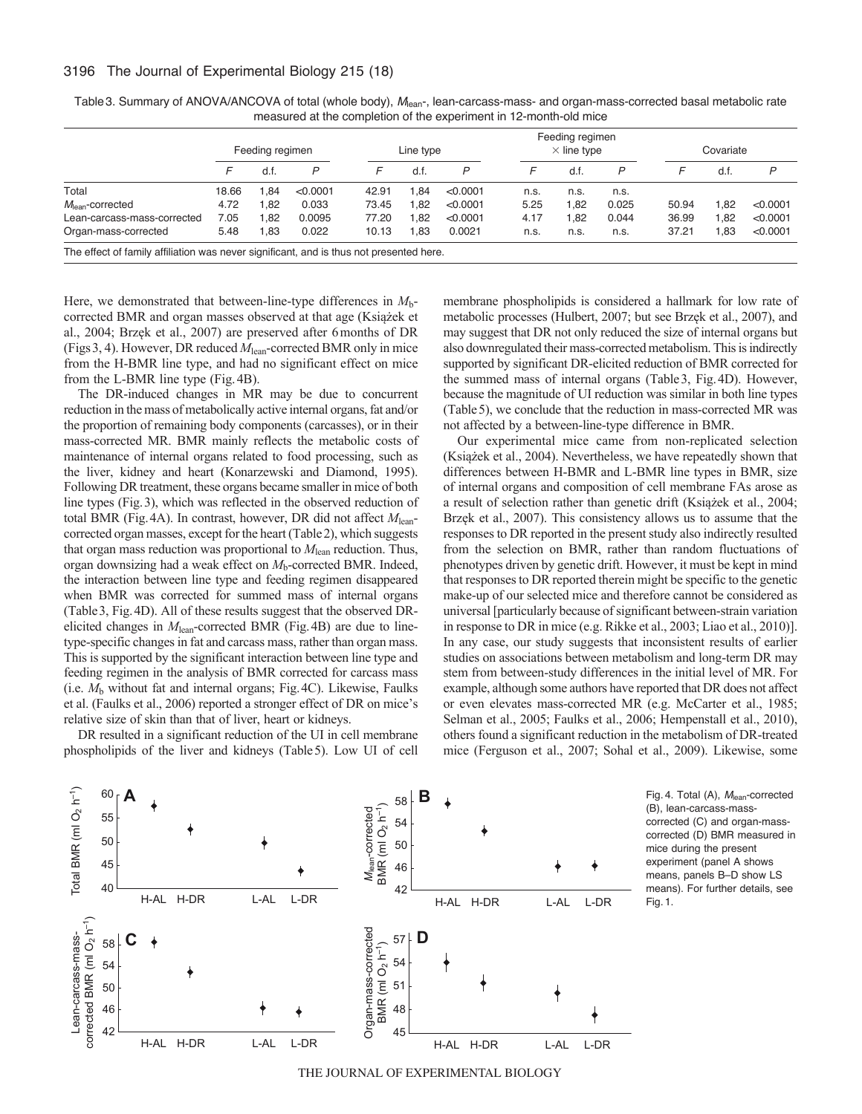|                              | Feeding regimen |      |              | Line type |      |          | Feeding regimen<br>$\times$ line type |       |       | Covariate |      |          |
|------------------------------|-----------------|------|--------------|-----------|------|----------|---------------------------------------|-------|-------|-----------|------|----------|
|                              |                 | d.f  | $\mathsf{P}$ |           | d.f. | P        | F                                     | d.f.  | P     |           | d.f. | P        |
| Total                        | 18.66           | .84  | < 0.0001     | 42.91     | .84  | < 0.0001 | n.s.                                  | n.s.  | n.s.  |           |      |          |
| $M_{\text{lean}}$ -corrected | 4.72            | .82  | 0.033        | 73.45     | .82  | < 0.0001 | 5.25                                  | 82. ا | 0.025 | 50.94     | .82  | < 0.0001 |
| Lean-carcass-mass-corrected  | 7.05            | .82  | 0.0095       | 77.20     | .82  | < 0.0001 | 4.17                                  | .82   | 0.044 | 36.99     | .82  | < 0.0001 |
| Organ-mass-corrected         | 5.48            | 0.83 | 0.022        | 10.13     | 0.83 | 0.0021   | n.s.                                  | n.s.  | n.s.  | 37.21     | .83  | < 0.0001 |

Table 3. Summary of ANOVA/ANCOVA of total (whole body), M<sub>lean-</sub>, lean-carcass-mass- and organ-mass-corrected basal metabolic rate measured at the completion of the experiment in 12-month-old mice

Here, we demonstrated that between-line-type differences in *M*bcorrected BMR and organ masses observed at that age (Książek et al., 2004; Brzęk et al., 2007) are preserved after 6months of DR (Figs3, 4). However, DR reduced *M*lean-corrected BMR only in mice from the H-BMR line type, and had no significant effect on mice from the L-BMR line type (Fig.4B).

The DR-induced changes in MR may be due to concurrent reduction in the mass of metabolically active internal organs, fat and/or the proportion of remaining body components (carcasses), or in their mass-corrected MR. BMR mainly reflects the metabolic costs of maintenance of internal organs related to food processing, such as the liver, kidney and heart (Konarzewski and Diamond, 1995). Following DR treatment, these organs became smaller in mice of both line types (Fig.3), which was reflected in the observed reduction of total BMR (Fig.4A). In contrast, however, DR did not affect *M*leancorrected organ masses, except for the heart (Table2), which suggests that organ mass reduction was proportional to *M*lean reduction. Thus, organ downsizing had a weak effect on *M*b-corrected BMR. Indeed, the interaction between line type and feeding regimen disappeared when BMR was corrected for summed mass of internal organs (Table3, Fig.4D). All of these results suggest that the observed DRelicited changes in *M*lean-corrected BMR (Fig.4B) are due to linetype-specific changes in fat and carcass mass, rather than organ mass. This is supported by the significant interaction between line type and feeding regimen in the analysis of BMR corrected for carcass mass (i.e. *M*<sup>b</sup> without fat and internal organs; Fig.4C). Likewise, Faulks et al. (Faulks et al., 2006) reported a stronger effect of DR on mice's relative size of skin than that of liver, heart or kidneys.

DR resulted in a significant reduction of the UI in cell membrane phospholipids of the liver and kidneys (Table5). Low UI of cell membrane phospholipids is considered a hallmark for low rate of metabolic processes (Hulbert, 2007; but see Brzęk et al., 2007), and may suggest that DR not only reduced the size of internal organs but also downregulated their mass-corrected metabolism. This is indirectly supported by significant DR-elicited reduction of BMR corrected for the summed mass of internal organs (Table3, Fig.4D). However, because the magnitude of UI reduction was similar in both line types (Table5), we conclude that the reduction in mass-corrected MR was not affected by a between-line-type difference in BMR.

Our experimental mice came from non-replicated selection (Książek et al., 2004). Nevertheless, we have repeatedly shown that differences between H-BMR and L-BMR line types in BMR, size of internal organs and composition of cell membrane FAs arose as a result of selection rather than genetic drift (Książek et al., 2004; Brzęk et al., 2007). This consistency allows us to assume that the responses to DR reported in the present study also indirectly resulted from the selection on BMR, rather than random fluctuations of phenotypes driven by genetic drift. However, it must be kept in mind that responses to DR reported therein might be specific to the genetic make-up of our selected mice and therefore cannot be considered as universal [particularly because of significant between-strain variation in response to DR in mice (e.g. Rikke et al., 2003; Liao et al., 2010)]. In any case, our study suggests that inconsistent results of earlier studies on associations between metabolism and long-term DR may stem from between-study differences in the initial level of MR. For example, although some authors have reported that DR does not affect or even elevates mass-corrected MR (e.g. McCarter et al., 1985; Selman et al., 2005; Faulks et al., 2006; Hempenstall et al., 2010), others found a significant reduction in the metabolism of DR-treated mice (Ferguson et al., 2007; Sohal et al., 2009). Likewise, some





THE JOURNAL OF EXPERIMENTAL BIOLOGY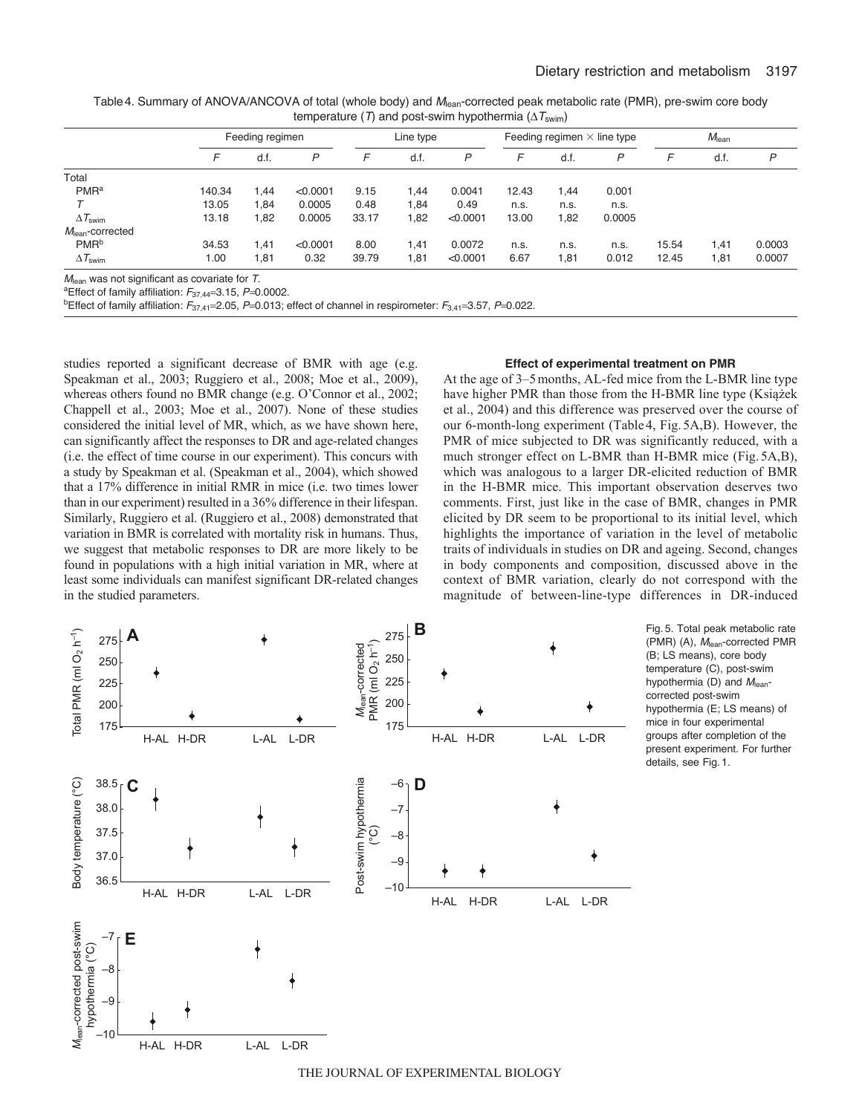| Table 4. Summary of ANOVA/ANCOVA of total (whole body) and M <sub>lean</sub> -corrected peak metabolic rate (PMR), pre-swim core body |
|---------------------------------------------------------------------------------------------------------------------------------------|
| temperature (T) and post-swim hypothermia ( $\Delta T_{\text{swim}}$ )                                                                |

|                                                           | Feeding regimen |      |          | Line type |      |              | Feeding regimen $\times$ line type |      |        | $M_{\text{lean}}$ |      |        |
|-----------------------------------------------------------|-----------------|------|----------|-----------|------|--------------|------------------------------------|------|--------|-------------------|------|--------|
|                                                           |                 | d.f  | P        | F         | d.f. | $\mathsf{P}$ | F                                  | d.f. | P      | F                 | d.f. | P      |
| Total                                                     |                 |      |          |           |      |              |                                    |      |        |                   |      |        |
| PMR <sup>a</sup>                                          | 140.34          | 1,44 | < 0.0001 | 9.15      | 1,44 | 0.0041       | 12.43                              | 1,44 | 0.001  |                   |      |        |
|                                                           | 13.05           | 1,84 | 0.0005   | 0.48      | 1,84 | 0.49         | n.s.                               | n.s. | n.s.   |                   |      |        |
| $\Delta T_{\text{swim}}$                                  | 13.18           | 1,82 | 0.0005   | 33.17     | 1,82 | < 0.0001     | 13.00                              | 1,82 | 0.0005 |                   |      |        |
| $M_{\text{lean}}$ -corrected                              |                 |      |          |           |      |              |                                    |      |        |                   |      |        |
| PMR <sup>b</sup>                                          | 34.53           | 1,41 | < 0.0001 | 8.00      | 1,41 | 0.0072       | n.s.                               | n.s. | n.s.   | 15.54             | 1,41 | 0.0003 |
| $\Delta T_{\text{swim}}$                                  | 1.00            | 1,81 | 0.32     | 39.79     | 1,81 | < 0.0001     | 6.67                               | 1,81 | 0.012  | 12.45             | 1,81 | 0.0007 |
| $M_{\text{lean}}$ was not significant as covariate for T. |                 |      |          |           |      |              |                                    |      |        |                   |      |        |

<sup>a</sup>Effect of family affiliation:  $F_{37,44}$ =3.15,  $P$ =0.0002.

<sup>b</sup>Effect of family affiliation:  $F_{37,41}$ =2.05, *P*=0.013; effect of channel in respirometer:  $F_{3,41}$ =3.57, *P*=0.022.

studies reported a significant decrease of BMR with age (e.g. Speakman et al., 2003; Ruggiero et al., 2008; Moe et al., 2009), whereas others found no BMR change (e.g. O'Connor et al., 2002; Chappell et al., 2003; Moe et al., 2007). None of these studies considered the initial level of MR, which, as we have shown here, can significantly affect the responses to DR and age-related changes (i.e. the effect of time course in our experiment). This concurs with a study by Speakman et al. (Speakman et al., 2004), which showed that a 17% difference in initial RMR in mice (i.e. two times lower than in our experiment) resulted in a 36% difference in their lifespan. Similarly, Ruggiero et al. (Ruggiero et al., 2008) demonstrated that variation in BMR is correlated with mortality risk in humans. Thus, we suggest that metabolic responses to DR are more likely to be found in populations with a high initial variation in MR, where at least some individuals can manifest significant DR-related changes in the studied parameters.

# **Effect of experimental treatment on PMR**

At the age of 3–5months, AL-fed mice from the L-BMR line type have higher PMR than those from the H-BMR line type (Książek et al., 2004) and this difference was preserved over the course of our 6-month-long experiment (Table 4, Fig. 5A,B). However, the PMR of mice subjected to DR was significantly reduced, with a much stronger effect on L-BMR than H-BMR mice (Fig. 5A,B), which was analogous to a larger DR-elicited reduction of BMR in the H-BMR mice. This important observation deserves two comments. First, just like in the case of BMR, changes in PMR elicited by DR seem to be proportional to its initial level, which highlights the importance of variation in the level of metabolic traits of individuals in studies on DR and ageing. Second, changes in body components and composition, discussed above in the context of BMR variation, clearly do not correspond with the magnitude of between-line-type differences in DR-induced



(B; LS means), core body temperature (C), post-swim hypothermia (D) and *M*leancorrected post-swim hypothermia (E; LS means) of mice in four experimental groups after completion of the present experiment. For further details, see Fig. 1.

Fig. 5. Total peak metabolic rate (PMR) (A), *M*lean-corrected PMR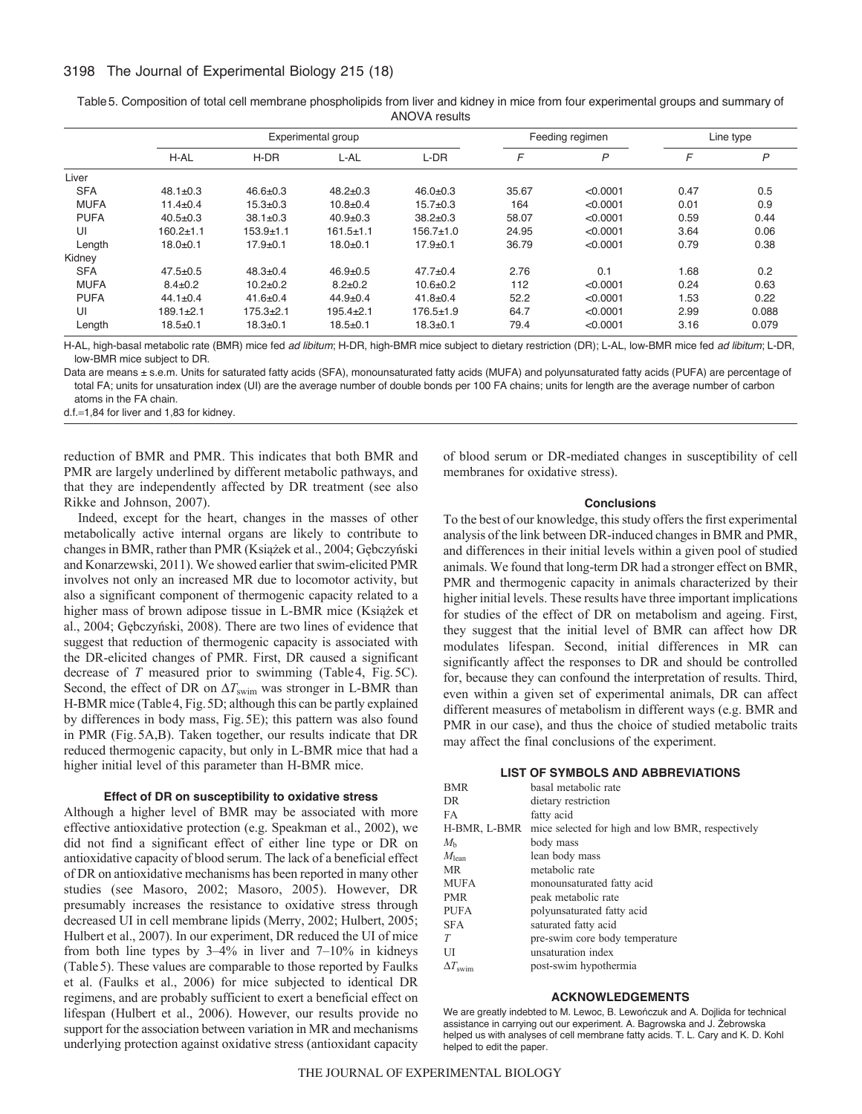# 3198 The Journal of Experimental Biology 215 (18)

|             |                |                | Experimental group |                 | Feeding regimen | Line type |      |       |
|-------------|----------------|----------------|--------------------|-----------------|-----------------|-----------|------|-------|
|             | H-AL           | $H-DR$         | L-AL               | L-DR            | F               | P         | F    | P     |
| Liver       |                |                |                    |                 |                 |           |      |       |
| <b>SFA</b>  | $48.1 \pm 0.3$ | $46.6 \pm 0.3$ | $48.2 \pm 0.3$     | $46.0 \pm 0.3$  | 35.67           | < 0.0001  | 0.47 | 0.5   |
| <b>MUFA</b> | $11.4 \pm 0.4$ | $15.3 + 0.3$   | $10.8 + 0.4$       | $15.7 \pm 0.3$  | 164             | < 0.0001  | 0.01 | 0.9   |
| <b>PUFA</b> | $40.5 + 0.3$   | $38.1 \pm 0.3$ | $40.9 + 0.3$       | $38.2 \pm 0.3$  | 58.07           | < 0.0001  | 0.59 | 0.44  |
| UI          | $160.2 + 1.1$  | $153.9 + 1.1$  | $161.5 + 1.1$      | $156.7 \pm 1.0$ | 24.95           | < 0.0001  | 3.64 | 0.06  |
| Length      | $18.0 + 0.1$   | $17.9 + 0.1$   | $18.0 + 0.1$       | $17.9 + 0.1$    | 36.79           | < 0.0001  | 0.79 | 0.38  |
| Kidney      |                |                |                    |                 |                 |           |      |       |
| <b>SFA</b>  | $47.5 + 0.5$   | $48.3 \pm 0.4$ | $46.9 \pm 0.5$     | $47.7 \pm 0.4$  | 2.76            | 0.1       | 1.68 | 0.2   |
| <b>MUFA</b> | $8.4 \pm 0.2$  | $10.2 + 0.2$   | $8.2 \pm 0.2$      | $10.6 + 0.2$    | 112             | < 0.0001  | 0.24 | 0.63  |
| <b>PUFA</b> | $44.1 \pm 0.4$ | $41.6 \pm 0.4$ | $44.9 \pm 0.4$     | $41.8 \pm 0.4$  | 52.2            | < 0.0001  | 1.53 | 0.22  |
| UI          | $189.1 + 2.1$  | $175.3 + 2.1$  | $195.4 + 2.1$      | $176.5 \pm 1.9$ | 64.7            | < 0.0001  | 2.99 | 0.088 |
| Length      | $18.5 + 0.1$   | $18.3 + 0.1$   | $18.5 + 0.1$       | $18.3 + 0.1$    | 79.4            | < 0.0001  | 3.16 | 0.079 |

Table5. Composition of total cell membrane phospholipids from liver and kidney in mice from four experimental groups and summary of ANOVA results

H-AL, high-basal metabolic rate (BMR) mice fed *ad libitum*; H-DR, high-BMR mice subject to dietary restriction (DR); L-AL, low-BMR mice fed *ad libitum*; L-DR, low-BMR mice subject to DR.

Data are means ± s.e.m. Units for saturated fatty acids (SFA), monounsaturated fatty acids (MUFA) and polyunsaturated fatty acids (PUFA) are percentage of total FA; units for unsaturation index (UI) are the average number of double bonds per 100 FA chains; units for length are the average number of carbon atoms in the FA chain.

 $d.f.=1,84$  for liver and 1,83 for kidney.

reduction of BMR and PMR. This indicates that both BMR and PMR are largely underlined by different metabolic pathways, and that they are independently affected by DR treatment (see also Rikke and Johnson, 2007).

Indeed, except for the heart, changes in the masses of other metabolically active internal organs are likely to contribute to changes in BMR, rather than PMR (Książek et al., 2004; Gębczyński and Konarzewski, 2011). We showed earlier that swim-elicited PMR involves not only an increased MR due to locomotor activity, but also a significant component of thermogenic capacity related to a higher mass of brown adipose tissue in L-BMR mice (Książek et al., 2004; Gębczyński, 2008). There are two lines of evidence that suggest that reduction of thermogenic capacity is associated with the DR-elicited changes of PMR. First, DR caused a significant decrease of *T* measured prior to swimming (Table4, Fig.5C). Second, the effect of DR on  $\Delta T_{\text{swim}}$  was stronger in L-BMR than H-BMR mice (Table4, Fig.5D; although this can be partly explained by differences in body mass, Fig.5E); this pattern was also found in PMR (Fig.5A,B). Taken together, our results indicate that DR reduced thermogenic capacity, but only in L-BMR mice that had a higher initial level of this parameter than H-BMR mice.

# **Effect of DR on susceptibility to oxidative stress**

Although a higher level of BMR may be associated with more effective antioxidative protection (e.g. Speakman et al., 2002), we did not find a significant effect of either line type or DR on antioxidative capacity of blood serum. The lack of a beneficial effect of DR on antioxidative mechanisms has been reported in many other studies (see Masoro, 2002; Masoro, 2005). However, DR presumably increases the resistance to oxidative stress through decreased UI in cell membrane lipids (Merry, 2002; Hulbert, 2005; Hulbert et al., 2007). In our experiment, DR reduced the UI of mice from both line types by 3–4% in liver and 7–10% in kidneys (Table5). These values are comparable to those reported by Faulks et al. (Faulks et al., 2006) for mice subjected to identical DR regimens, and are probably sufficient to exert a beneficial effect on lifespan (Hulbert et al., 2006). However, our results provide no support for the association between variation in MR and mechanisms underlying protection against oxidative stress (antioxidant capacity of blood serum or DR-mediated changes in susceptibility of cell membranes for oxidative stress).

#### **Conclusions**

To the best of our knowledge, this study offers the first experimental analysis of the link between DR-induced changes in BMR and PMR, and differences in their initial levels within a given pool of studied animals. We found that long-term DR had a stronger effect on BMR, PMR and thermogenic capacity in animals characterized by their higher initial levels. These results have three important implications for studies of the effect of DR on metabolism and ageing. First, they suggest that the initial level of BMR can affect how DR modulates lifespan. Second, initial differences in MR can significantly affect the responses to DR and should be controlled for, because they can confound the interpretation of results. Third, even within a given set of experimental animals, DR can affect different measures of metabolism in different ways (e.g. BMR and PMR in our case), and thus the choice of studied metabolic traits may affect the final conclusions of the experiment.

# **LIST OF SYMBOLS AND ABBREVIATIONS**

| <b>BMR</b>            | basal metabolic rate                             |
|-----------------------|--------------------------------------------------|
| DR.                   | dietary restriction                              |
| FA                    | fatty acid                                       |
| H-BMR, L-BMR          | mice selected for high and low BMR, respectively |
| $M_{h}$               | body mass                                        |
| $M_{\text{lean}}$     | lean body mass                                   |
| MR.                   | metabolic rate                                   |
| <b>MUFA</b>           | monounsaturated fatty acid                       |
| <b>PMR</b>            | peak metabolic rate                              |
| <b>PUFA</b>           | polyunsaturated fatty acid                       |
| <b>SFA</b>            | saturated fatty acid                             |
| T                     | pre-swim core body temperature                   |
| UI                    | unsaturation index                               |
| $\Delta T_{\rm swim}$ | post-swim hypothermia                            |

## **ACKNOWLEDGEMENTS**

We are greatly indebted to M. Lewoc, B. Lewończuk and A. Dojlida for technical assistance in carrying out our experiment. A. Bagrowska and J. Zebrowska helped us with analyses of cell membrane fatty acids. T. L. Cary and K. D. Kohl helped to edit the paper.